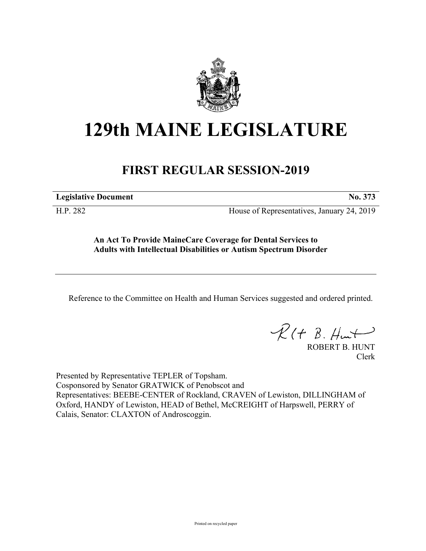

## **129th MAINE LEGISLATURE**

## **FIRST REGULAR SESSION-2019**

**Legislative Document No. 373**

H.P. 282 House of Representatives, January 24, 2019

**An Act To Provide MaineCare Coverage for Dental Services to Adults with Intellectual Disabilities or Autism Spectrum Disorder**

Reference to the Committee on Health and Human Services suggested and ordered printed.

 $R(H B. H<sup>u</sup>)$ 

ROBERT B. HUNT Clerk

Presented by Representative TEPLER of Topsham. Cosponsored by Senator GRATWICK of Penobscot and Representatives: BEEBE-CENTER of Rockland, CRAVEN of Lewiston, DILLINGHAM of Oxford, HANDY of Lewiston, HEAD of Bethel, McCREIGHT of Harpswell, PERRY of Calais, Senator: CLAXTON of Androscoggin.